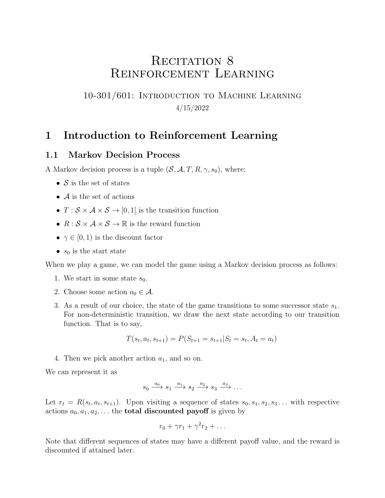# RECITATION 8 Reinforcement Learning

### 10-301/601: Introduction to Machine Learning 4/15/2022

### 1 Introduction to Reinforcement Learning

#### 1.1 Markov Decision Process

A Markov decision process is a tuple  $(S, \mathcal{A}, T, R, \gamma, s_0)$ , where:

- $S$  is the set of states
- $\bullet$  A is the set of actions
- $T : \mathcal{S} \times \mathcal{A} \times \mathcal{S} \rightarrow [0, 1]$  is the transition function
- $R : \mathcal{S} \times \mathcal{A} \times \mathcal{S} \rightarrow \mathbb{R}$  is the reward function
- $\gamma \in [0, 1)$  is the discount factor
- $s_0$  is the start state

When we play a game, we can model the game using a Markov decision process as follows:

- 1. We start in some state  $s_0$ .
- 2. Choose some action  $a_0 \in \mathcal{A}$ .
- 3. As a result of our choice, the state of the game transitions to some successor state  $s_1$ . For non-deterministic transition, we draw the next state according to our transition function. That is to say,

$$
T(s_t, a_t, s_{t+1}) = P(S_{t+1} = s_{t+1} | S_t = s_t, A_t = a_t)
$$

4. Then we pick another action  $a_1$ , and so on.

We can represent it as

$$
s_0 \xrightarrow{a_0} s_1 \xrightarrow{a_1} s_2 \xrightarrow{a_2} s_3 \xrightarrow{a_3} \dots
$$

Let  $r_t = R(s_t, a_t, s_{t+1})$ . Upon visiting a sequence of states  $s_0, s_1, s_2, s_3 \dots$  with respective actions  $a_0, a_1, a_2, \ldots$  the **total discounted payoff** is given by

$$
r_0 + \gamma r_1 + \gamma^2 r_2 + \dots
$$

Note that different sequences of states may have a different payoff value, and the reward is discounted if attained later.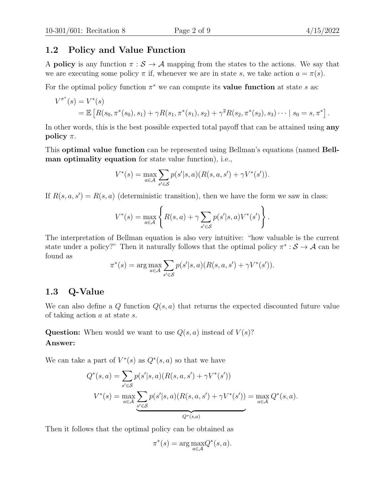#### 1.2 Policy and Value Function

A **policy** is any function  $\pi : \mathcal{S} \to \mathcal{A}$  mapping from the states to the actions. We say that we are executing some policy  $\pi$  if, whenever we are in state s, we take action  $a = \pi(s)$ .

For the optimal policy function  $\pi^*$  we can compute its **value function** at state s as:

$$
V^{\pi^*}(s) = V^*(s)
$$
  
=  $\mathbb{E}\left[R(s_0, \pi^*(s_0), s_1) + \gamma R(s_1, \pi^*(s_1), s_2) + \gamma^2 R(s_2, \pi^*(s_2), s_3) \cdots | s_0 = s, \pi^*\right].$ 

In other words, this is the best possible expected total payoff that can be attained using **any** policy  $\pi$ .

This optimal value function can be represented using Bellman's equations (named Bellman optimality equation for state value function), i.e.,

$$
V^*(s) = \max_{a \in \mathcal{A}} \sum_{s' \in \mathcal{S}} p(s'|s, a) (R(s, a, s') + \gamma V^*(s')).
$$

If  $R(s, a, s') = R(s, a)$  (deterministic transition), then we have the form we saw in class:

$$
V^*(s) = \max_{a \in \mathcal{A}} \left\{ R(s, a) + \gamma \sum_{s' \in \mathcal{S}} p(s'|s, a) V^*(s') \right\}.
$$

The interpretation of Bellman equation is also very intuitive: "how valuable is the current state under a policy?" Then it naturally follows that the optimal policy  $\pi^*: \mathcal{S} \to \mathcal{A}$  can be found as

$$
\pi^*(s) = \arg \max_{a \in \mathcal{A}} \sum_{s' \in \mathcal{S}} p(s'|s, a) (R(s, a, s') + \gamma V^*(s')).
$$

#### 1.3 Q-Value

We can also define a  $Q$  function  $Q(s, a)$  that returns the expected discounted future value of taking action a at state s.

Question: When would we want to use  $Q(s, a)$  instead of  $V(s)$ ? Answer:

We can take a part of  $V^*(s)$  as  $Q^*(s, a)$  so that we have

$$
Q^*(s, a) = \sum_{s' \in S} p(s'|s, a) (R(s, a, s') + \gamma V^*(s'))
$$
  

$$
V^*(s) = \max_{a \in A} \sum_{s' \in S} p(s'|s, a) (R(s, a, s') + \gamma V^*(s')) = \max_{a \in A} Q^*(s, a).
$$

Then it follows that the optimal policy can be obtained as

$$
\pi^*(s) = \arg \max_{a \in \mathcal{A}} Q^*(s, a).
$$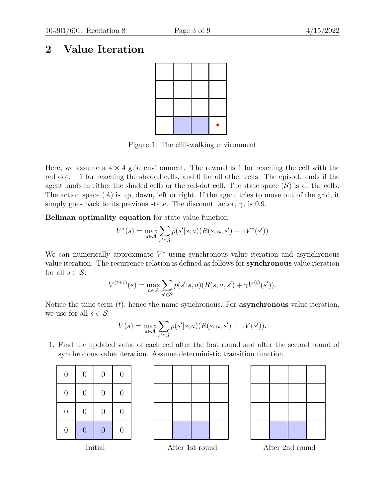## 2 Value Iteration



Figure 1: The cliff-walking environment

Here, we assume a  $4 \times 4$  grid environment. The reward is 1 for reaching the cell with the red dot, −1 for reaching the shaded cells, and 0 for all other cells. The episode ends if the agent lands in either the shaded cells or the red-dot cell. The state space  $(S)$  is all the cells. The action space  $(A)$  is up, down, left or right. If the agent tries to move out of the grid, it simply goes back to its previous state. The discount factor,  $\gamma$ , is 0.9.

Bellman optimality equation for state value function:

$$
V^*(s) = \max_{a \in \mathcal{A}} \sum_{s' \in \mathcal{S}} p(s'|s, a) (R(s, a, s') + \gamma V^*(s'))
$$

We can numerically approximate  $V^*$  using synchronous value iteration and asynchronous value iteration. The recurrence relation is defined as follows for synchronous value iteration for all  $s \in \mathcal{S}$ :

$$
V^{(t+1)}(s) = \max_{a \in \mathcal{A}} \sum_{s' \in \mathcal{S}} p(s'|s, a) (R(s, a, s') + \gamma V^{(t)}(s')).
$$

Notice the time term  $(t)$ , hence the name synchronous. For **asynchronous** value iteration, we use for all  $s \in \mathcal{S}$ :

$$
V(s) = \max_{a \in \mathcal{A}} \sum_{s' \in \mathcal{S}} p(s'|s, a) (R(s, a, s') + \gamma V(s')).
$$

1. Find the updated value of each cell after the first round and after the second round of synchronous value iteration. Assume deterministic transition function.

| $\overline{0}$ | $\overline{0}$ | $\overline{0}$ | $\overline{0}$ |
|----------------|----------------|----------------|----------------|
| $\overline{0}$ | $\overline{0}$ | $\overline{0}$ | $\overline{0}$ |
| $\overline{0}$ | $\overline{0}$ | $\overline{0}$ | $\overline{0}$ |
| $\overline{0}$ | $\overline{0}$ | $\overline{0}$ | 0              |





Initial After 1st round After 2nd round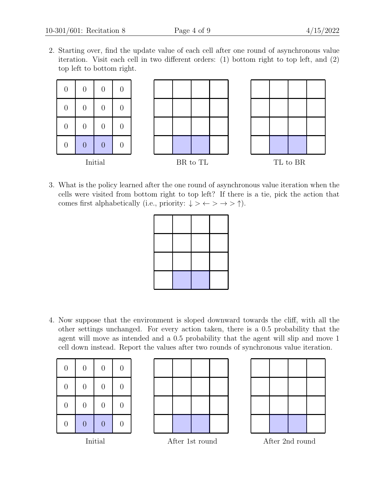2. Starting over, find the update value of each cell after one round of asynchronous value iteration. Visit each cell in two different orders: (1) bottom right to top left, and (2) top left to bottom right.



3. What is the policy learned after the one round of asynchronous value iteration when the cells were visited from bottom right to top left? If there is a tie, pick the action that comes first alphabetically (i.e., priority:  $\downarrow$  >  $\leftrightarrow$  >  $\rightarrow$   $\uparrow$ ).



4. Now suppose that the environment is sloped downward towards the cliff, with all the other settings unchanged. For every action taken, there is a 0.5 probability that the agent will move as intended and a 0.5 probability that the agent will slip and move 1 cell down instead. Report the values after two rounds of synchronous value iteration.

| $\overline{0}$           | $\overline{0}$ | $\overline{0}$ | $\overline{0}$                  |  |
|--------------------------|----------------|----------------|---------------------------------|--|
| $\overline{0}$           | $\overline{0}$ | $\overline{0}$ | 0                               |  |
| $\overline{0}$           | $\overline{0}$ | $\overline{0}$ | $\hspace{.0cm} 0 \hspace{.0cm}$ |  |
| $\overline{0}$           | $\overline{0}$ | $\overline{0}$ | 0                               |  |
| т<br>$\cdot$ , $\cdot$ 1 |                |                |                                 |  |





Initial After 1st round After 2nd round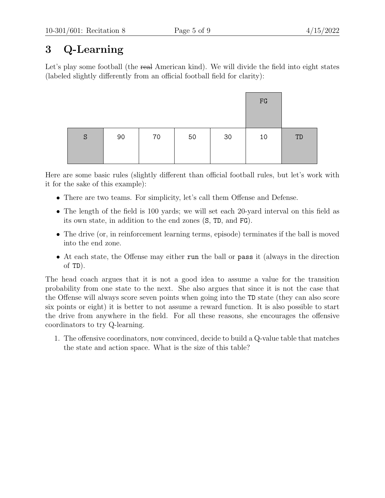# 3 Q-Learning

Let's play some football (the real American kind). We will divide the field into eight states (labeled slightly differently from an official football field for clarity):

|   |    |    |    |    | FG |    |
|---|----|----|----|----|----|----|
| S | 90 | 70 | 50 | 30 | 10 | TD |

Here are some basic rules (slightly different than official football rules, but let's work with it for the sake of this example):

- There are two teams. For simplicity, let's call them Offense and Defense.
- The length of the field is 100 yards; we will set each 20-yard interval on this field as its own state, in addition to the end zones (S, TD, and FG).
- The drive (or, in reinforcement learning terms, episode) terminates if the ball is moved into the end zone.
- At each state, the Offense may either run the ball or pass it (always in the direction of TD).

The head coach argues that it is not a good idea to assume a value for the transition probability from one state to the next. She also argues that since it is not the case that the Offense will always score seven points when going into the TD state (they can also score six points or eight) it is better to not assume a reward function. It is also possible to start the drive from anywhere in the field. For all these reasons, she encourages the offensive coordinators to try Q-learning.

1. The offensive coordinators, now convinced, decide to build a Q-value table that matches the state and action space. What is the size of this table?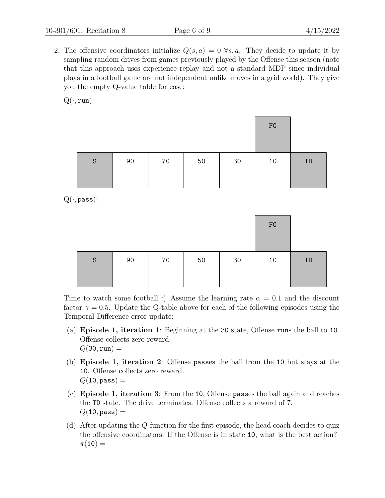2. The offensive coordinators initialize  $Q(s, a) = 0 \ \forall s, a$ . They decide to update it by sampling random drives from games previously played by the Offense this season (note that this approach uses experience replay and not a standard MDP since individual plays in a football game are not independent unlike moves in a grid world). They give you the empty Q-value table for ease:

 $Q(\cdot, run)$ :

|   |    |    |    |    | FG |    |
|---|----|----|----|----|----|----|
| S | 90 | 70 | 50 | 30 | 10 | TD |

 $Q(\cdot, \text{pass})$ :

|   |    |    |    |    | FG |    |
|---|----|----|----|----|----|----|
| S | 90 | 70 | 50 | 30 | 10 | TD |

Time to watch some football :) Assume the learning rate  $\alpha = 0.1$  and the discount factor  $\gamma = 0.5$ . Update the Q-table above for each of the following episodes using the Temporal Difference error update:

- (a) Episode 1, iteration 1: Beginning at the 30 state, Offense runs the ball to 10. Offense collects zero reward.  $Q(30, \text{run}) =$
- (b) Episode 1, iteration 2: Offense passes the ball from the 10 but stays at the 10. Offense collects zero reward.  $Q(10, \text{pass}) =$
- (c) Episode 1, iteration 3: From the 10, Offense passes the ball again and reaches the TD state. The drive terminates. Offense collects a reward of 7.  $Q(10, \text{pass}) =$
- (d) After updating the Q-function for the first episode, the head coach decides to quiz the offensive coordinators. If the Offense is in state 10, what is the best action?  $\pi(10) =$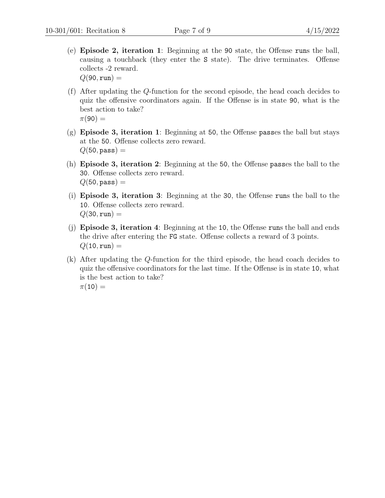(e) Episode 2, iteration 1: Beginning at the 90 state, the Offense runs the ball, causing a touchback (they enter the S state). The drive terminates. Offense collects -2 reward.

 $Q(90, \text{run}) =$ 

- (f) After updating the Q-function for the second episode, the head coach decides to quiz the offensive coordinators again. If the Offense is in state 90, what is the best action to take?  $\pi(90) =$
- (g) Episode 3, iteration 1: Beginning at 50, the Offense passes the ball but stays at the 50. Offense collects zero reward.  $Q(50, \text{pass}) =$
- (h) Episode 3, iteration 2: Beginning at the 50, the Offense passes the ball to the 30. Offense collects zero reward.  $Q(50, \text{pass}) =$
- (i) Episode 3, iteration 3: Beginning at the 30, the Offense runs the ball to the 10. Offense collects zero reward.  $Q(30, \text{run}) =$
- (j) Episode 3, iteration 4: Beginning at the 10, the Offense runs the ball and ends the drive after entering the FG state. Offense collects a reward of 3 points.  $Q(10, \text{run}) =$
- (k) After updating the Q-function for the third episode, the head coach decides to quiz the offensive coordinators for the last time. If the Offense is in state 10, what is the best action to take?  $\pi(10) =$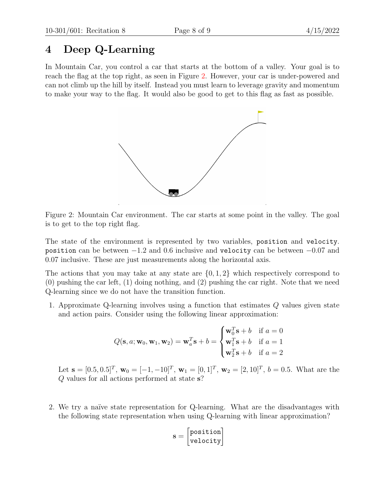## 4 Deep Q-Learning

<span id="page-7-0"></span>In Mountain Car, you control a car that starts at the bottom of a valley. Your goal is to reach the flag at the top right, as seen in Figure [2.](#page-7-0) However, your car is under-powered and can not climb up the hill by itself. Instead you must learn to leverage gravity and momentum to make your way to the flag. It would also be good to get to this flag as fast as possible.



Figure 2: Mountain Car environment. The car starts at some point in the valley. The goal is to get to the top right flag.

The state of the environment is represented by two variables, position and velocity. position can be between  $-1.2$  and 0.6 inclusive and velocity can be between  $-0.07$  and 0.07 inclusive. These are just measurements along the horizontal axis.

The actions that you may take at any state are  $\{0, 1, 2\}$  which respectively correspond to (0) pushing the car left, (1) doing nothing, and (2) pushing the car right. Note that we need Q-learning since we do not have the transition function.

1. Approximate Q-learning involves using a function that estimates Q values given state and action pairs. Consider using the following linear approximation:

$$
Q(\mathbf{s}, a; \mathbf{w}_0, \mathbf{w}_1, \mathbf{w}_2) = \mathbf{w}_a^T \mathbf{s} + b = \begin{cases} \mathbf{w}_0^T \mathbf{s} + b & \text{if } a = 0\\ \mathbf{w}_1^T \mathbf{s} + b & \text{if } a = 1\\ \mathbf{w}_2^T \mathbf{s} + b & \text{if } a = 2 \end{cases}
$$

Let  $\mathbf{s} = [0.5, 0.5]^T$ ,  $\mathbf{w}_0 = [-1, -10]^T$ ,  $\mathbf{w}_1 = [0, 1]^T$ ,  $\mathbf{w}_2 = [2, 10]^T$ ,  $b = 0.5$ . What are the Q values for all actions performed at state s?

2. We try a naïve state representation for Q-learning. What are the disadvantages with the following state representation when using Q-learning with linear approximation?

$$
\mathbf{s} = \begin{bmatrix} \texttt{position} \\ \texttt{velocity} \end{bmatrix}
$$